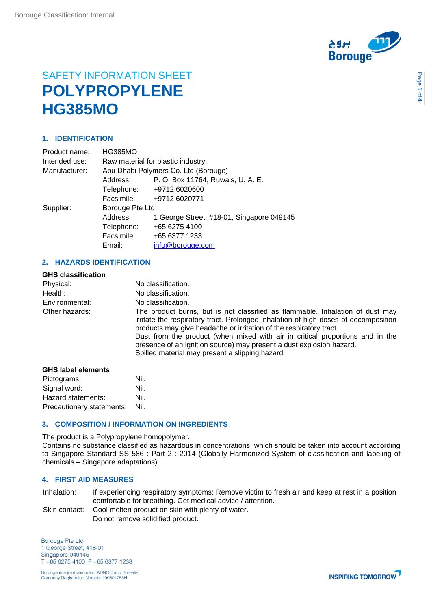

# SAFETY INFORMATION SHEET **POLYPROPYLENE HG385MO**

# **1. IDENTIFICATION**

| Product name: | <b>HG385MO</b>                       |                                           |  |
|---------------|--------------------------------------|-------------------------------------------|--|
| Intended use: | Raw material for plastic industry.   |                                           |  |
| Manufacturer: | Abu Dhabi Polymers Co. Ltd (Borouge) |                                           |  |
|               | Address:                             | P. O. Box 11764, Ruwais, U. A. E.         |  |
|               | Telephone:                           | +9712 6020600                             |  |
|               | Facsimile:                           | +9712 6020771                             |  |
| Supplier:     | Borouge Pte Ltd                      |                                           |  |
|               | Address:                             | 1 George Street, #18-01, Singapore 049145 |  |
|               | Telephone:                           | +65 6275 4100                             |  |
|               | Facsimile:                           | +65 6377 1233                             |  |
|               | Email:                               | info@borouge.com                          |  |
|               |                                      |                                           |  |

# **2. HAZARDS IDENTIFICATION**

| <b>GHS classification</b> |                                                                                                                                                                                                                                                                                                                                                                                                                                                        |
|---------------------------|--------------------------------------------------------------------------------------------------------------------------------------------------------------------------------------------------------------------------------------------------------------------------------------------------------------------------------------------------------------------------------------------------------------------------------------------------------|
| Physical:                 | No classification.                                                                                                                                                                                                                                                                                                                                                                                                                                     |
| Health:                   | No classification.                                                                                                                                                                                                                                                                                                                                                                                                                                     |
| Environmental:            | No classification.                                                                                                                                                                                                                                                                                                                                                                                                                                     |
| Other hazards:            | The product burns, but is not classified as flammable. Inhalation of dust may<br>irritate the respiratory tract. Prolonged inhalation of high doses of decomposition<br>products may give headache or irritation of the respiratory tract.<br>Dust from the product (when mixed with air in critical proportions and in the<br>presence of an ignition source) may present a dust explosion hazard.<br>Spilled material may present a slipping hazard. |
| CUC lohal alamanta        |                                                                                                                                                                                                                                                                                                                                                                                                                                                        |

| <b>GHS label elements</b> |      |  |
|---------------------------|------|--|
| Pictograms:               | Nil. |  |
| Signal word:              | Nil. |  |
| Hazard statements:        | Nil. |  |
| Precautionary statements: | Nil. |  |

# **3. COMPOSITION / INFORMATION ON INGREDIENTS**

The product is a Polypropylene homopolymer.

Contains no substance classified as hazardous in concentrations, which should be taken into account according to Singapore Standard SS 586 : Part 2 : 2014 (Globally Harmonized System of classification and labeling of chemicals – Singapore adaptations).

### **4. FIRST AID MEASURES**

Inhalation: If experiencing respiratory symptoms: Remove victim to fresh air and keep at rest in a position comfortable for breathing. Get medical advice / attention.

Skin contact: Cool molten product on skin with plenty of water. Do not remove solidified product.

**Borouge Pte Ltd** 1 George Street, #18-01 Singapore 049145 T +65 6275 4100 F +65 6377 1233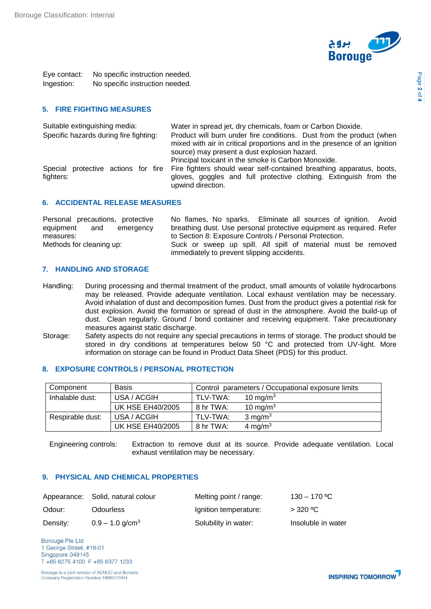

Eye contact: No specific instruction needed. Ingestion: No specific instruction needed.

# **5. FIRE FIGHTING MEASURES**

| Suitable extinguishing media:          | Water in spread jet, dry chemicals, foam or Carbon Dioxide.                                                                                                                                        |
|----------------------------------------|----------------------------------------------------------------------------------------------------------------------------------------------------------------------------------------------------|
| Specific hazards during fire fighting: | Product will burn under fire conditions. Dust from the product (when<br>mixed with air in critical proportions and in the presence of an ignition<br>source) may present a dust explosion hazard.  |
|                                        | Principal toxicant in the smoke is Carbon Monoxide.                                                                                                                                                |
| fighters:                              | Special protective actions for fire Fire fighters should wear self-contained breathing apparatus, boots,<br>gloves, goggles and full protective clothing. Extinguish from the<br>upwind direction. |

#### **6. ACCIDENTAL RELEASE MEASURES**

| Personal precautions, protective | No flames, No sparks. Eliminate all sources of ignition. Avoid       |
|----------------------------------|----------------------------------------------------------------------|
| equipment and<br>emergency       | breathing dust. Use personal protective equipment as required. Refer |
| measures:                        | to Section 8: Exposure Controls / Personal Protection.               |
| Methods for cleaning up:         | Suck or sweep up spill. All spill of material must be removed        |
|                                  | immediately to prevent slipping accidents.                           |

#### **7. HANDLING AND STORAGE**

- Handling: During processing and thermal treatment of the product, small amounts of volatile hydrocarbons may be released. Provide adequate ventilation. Local exhaust ventilation may be necessary. Avoid inhalation of dust and decomposition fumes. Dust from the product gives a potential risk for dust explosion. Avoid the formation or spread of dust in the atmosphere. Avoid the build-up of dust. Clean regularly. Ground / bond container and receiving equipment. Take precautionary measures against static discharge.
- Storage: Safety aspects do not require any special precautions in terms of storage. The product should be stored in dry conditions at temperatures below 50 °C and protected from UV-light. More information on storage can be found in Product Data Sheet (PDS) for this product.

# **8. EXPOSURE CONTROLS / PERSONAL PROTECTION**

| Component        | <b>Basis</b>            |           | Control parameters / Occupational exposure limits |
|------------------|-------------------------|-----------|---------------------------------------------------|
| Inhalable dust:  | USA / ACGIH             | TLV-TWA:  | 10 mg/m $3$                                       |
|                  | <b>UK HSE EH40/2005</b> | 8 hr TWA: | 10 mg/m $3$                                       |
| Respirable dust: | USA / ACGIH             | TLV-TWA:  | $3 \text{ mg/m}^3$                                |
|                  | <b>UK HSE EH40/2005</b> | 8 hr TWA: | 4 mg/m <sup>3</sup>                               |

Engineering controls: Extraction to remove dust at its source. Provide adequate ventilation. Local exhaust ventilation may be necessary.

#### **9. PHYSICAL AND CHEMICAL PROPERTIES**

|          | Appearance: Solid, natural colour | Melting point / range: | $130 - 170$ °C     |
|----------|-----------------------------------|------------------------|--------------------|
| Odour:   | <b>Odourless</b>                  | Ignition temperature:  | $>$ 320 °C         |
| Density: | $0.9 - 1.0$ g/cm <sup>3</sup>     | Solubility in water:   | Insoluble in water |

**Borouge Pte Ltd** 1 George Street, #18-01 Singapore 049145 T +65 6275 4100 F +65 6377 1233

Borouge is a joint venture of ADNOC and Borealis Company Registration Number 199801755H

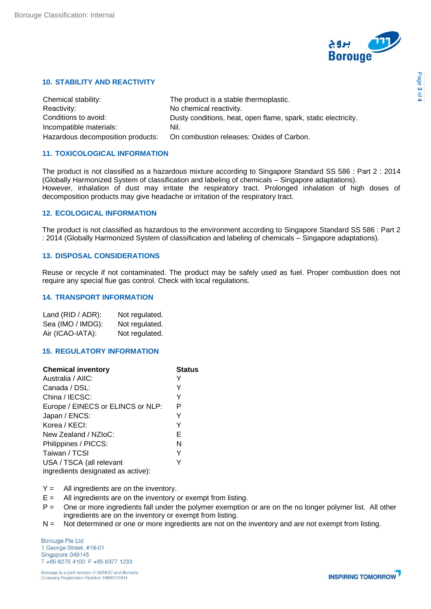

# **10. STABILITY AND REACTIVITY**

| Chemical stability:               | The product is a stable thermoplastic.                         |
|-----------------------------------|----------------------------------------------------------------|
| Reactivity:                       | No chemical reactivity.                                        |
| Conditions to avoid:              | Dusty conditions, heat, open flame, spark, static electricity. |
| Incompatible materials:           | Nil.                                                           |
| Hazardous decomposition products: | On combustion releases: Oxides of Carbon.                      |

# **11. TOXICOLOGICAL INFORMATION**

The product is not classified as a hazardous mixture according to Singapore Standard SS 586 : Part 2 : 2014 (Globally Harmonized System of classification and labeling of chemicals – Singapore adaptations). However, inhalation of dust may irritate the respiratory tract. Prolonged inhalation of high doses of decomposition products may give headache or irritation of the respiratory tract.

#### **12. ECOLOGICAL INFORMATION**

The product is not classified as hazardous to the environment according to Singapore Standard SS 586 : Part 2 : 2014 (Globally Harmonized System of classification and labeling of chemicals – Singapore adaptations).

#### **13. DISPOSAL CONSIDERATIONS**

Reuse or recycle if not contaminated. The product may be safely used as fuel. Proper combustion does not require any special flue gas control. Check with local regulations.

#### **14. TRANSPORT INFORMATION**

| Land (RID / ADR): | Not regulated. |
|-------------------|----------------|
| Sea (IMO / IMDG): | Not regulated. |
| Air (ICAO-IATA):  | Not regulated. |

# **15. REGULATORY INFORMATION**

| <b>Chemical inventory</b>          | <b>Status</b> |
|------------------------------------|---------------|
| Australia / AIIC:                  |               |
| Canada / DSL:                      | Y             |
| China / IECSC:                     | Y             |
| Europe / EINECS or ELINCS or NLP:  | P             |
| Japan / ENCS:                      | Y             |
| Korea / KECI:                      | Y             |
| New Zealand / NZIoC:               | Е             |
| Philippines / PICCS:               | N             |
| Taiwan / TCSI                      | Y             |
| USA / TSCA (all relevant           |               |
| ingredients designated as active): |               |

 $Y =$  All ingredients are on the inventory.

- $E =$  All ingredients are on the inventory or exempt from listing.
- P = One or more ingredients fall under the polymer exemption or are on the no longer polymer list. All other ingredients are on the inventory or exempt from listing.
- N = Not determined or one or more ingredients are not on the inventory and are not exempt from listing.

**Borouge Pte Ltd** 1 George Street, #18-01 Singapore 049145 T +65 6275 4100 F +65 6377 1233